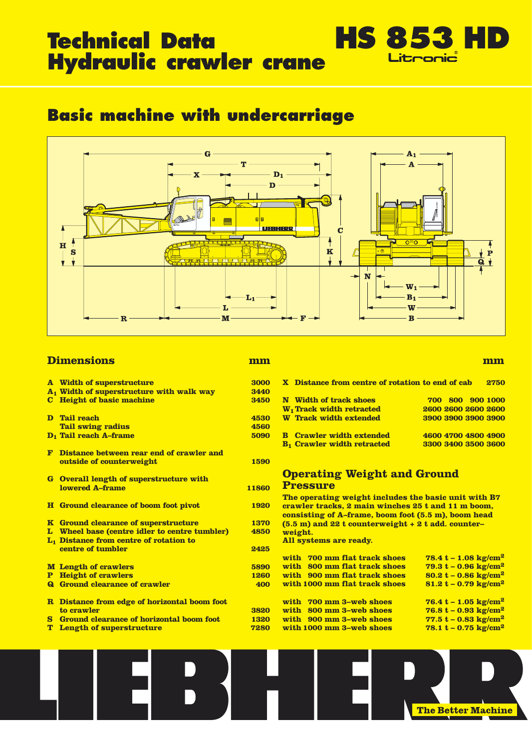# **Technical Data** Hydraulic crawler crane

# **Basic machine with undercarriage**



# **Dimensions**

#### mm

|             | <b>A</b> Width of superstructure                                                                    | 3000        |
|-------------|-----------------------------------------------------------------------------------------------------|-------------|
|             | A <sub>1</sub> Width of superstructure with walk way                                                | 3440        |
|             | <b>C</b> Height of basic machine                                                                    | 3450        |
|             | D Tail reach                                                                                        | 4530        |
|             | <b>Tail swing radius</b>                                                                            | 4560        |
|             | D <sub>1</sub> Tail reach A-frame                                                                   | 5090        |
|             | <b>F</b> Distance between rear end of crawler and                                                   |             |
|             | outside of counterweight                                                                            | 1590        |
|             | <b>G</b> Overall length of superstructure with                                                      |             |
|             | <b>lowered A-frame</b>                                                                              | 11860       |
|             | <b>H</b> Ground clearance of boom foot pivot                                                        | <b>1920</b> |
|             | <b>K</b> Ground clearance of superstructure                                                         | 1370        |
|             | L Wheel base (centre idler to centre tumbler)<br>L <sub>1</sub> Distance from centre of rotation to | 4850        |
|             | centre of tumbler                                                                                   | 2425        |
|             | <b>M</b> Length of crawlers                                                                         | 5890        |
| ${\bf P}^-$ | <b>Height of crawlers</b>                                                                           | 1260        |
|             | <b>Q</b> Ground clearance of crawler                                                                | 400         |
|             | <b>R</b> Distance from edge of horizontal boom foot                                                 |             |
|             | to crawler                                                                                          | 3820        |
|             | <b>S</b> Ground clearance of horizontal boom foot                                                   | 1320        |
| T.          | <b>Length of superstructure</b>                                                                     | 7280        |
|             |                                                                                                     |             |

#### mm

|                                              | X Distance from centre of rotation to end of cab<br>2750 |  |  |  |  |  |  |  |  |  |
|----------------------------------------------|----------------------------------------------------------|--|--|--|--|--|--|--|--|--|
| <b>N</b> Width of track shoes                | 800 900 1000<br>700                                      |  |  |  |  |  |  |  |  |  |
| W <sub>1</sub> Track width retracted         | 2600 2600 2600 2600                                      |  |  |  |  |  |  |  |  |  |
| <b>W</b> Track width extended                | 3900 3900 3900 3900                                      |  |  |  |  |  |  |  |  |  |
| <b>B</b> Crawler width extended              | 4600 4700 4800 4900                                      |  |  |  |  |  |  |  |  |  |
| <b>B<sub>1</sub></b> Crawler width retracted | 3300 3400 3500 3600                                      |  |  |  |  |  |  |  |  |  |

**HS 853 HD** 

## **Operating Weight and Ground Pressure**

The operating weight includes the basic unit with B7 crawler tracks, 2 main winches 25 t and 11 m boom, consisting of A-frame, boom foot (5.5 m), boom head  $(5.5 \text{ m})$  and 22 t counterweight + 2 t add. counterweight. All systems are ready.

|                                            |             | with 700 mm flat track shoes  | $78.4 t - 1.08 kg/cm2$             |
|--------------------------------------------|-------------|-------------------------------|------------------------------------|
| <b>Length of crawlers</b>                  | 5890        | with 800 mm flat track shoes  | 79.3 t – 0.96 $\text{kg/cm}^2$     |
| <b>Height of crawlers</b>                  | <b>1260</b> | with 900 mm flat track shoes  | 80.2 t – 0.86 $\text{kg/cm}^2$     |
| Ground clearance of crawler                | 400         | with 1000 mm flat track shoes | 81.2 t – 0.79 $\text{kg/cm}^2$     |
| Distance from edge of horizontal boom foot |             | with 700 mm 3-web shoes       | 76.4 t – 1.05 $\text{kg/cm}^2$     |
| to crawler                                 | 3820        | with 800 mm 3-web shoes       | 76.8 t – 0.93 $\text{kg/cm}^2$     |
| Ground clearance of horizontal boom foot   | <b>1320</b> | with 900 mm 3-web shoes       | 77.5 t – 0.83 $\text{kg/cm}^2$     |
| Length of superstructure                   | 7280        | with 1000 mm 3-web shoes      | 78.1 $t - 0.75$ kg/cm <sup>2</sup> |
|                                            |             |                               |                                    |

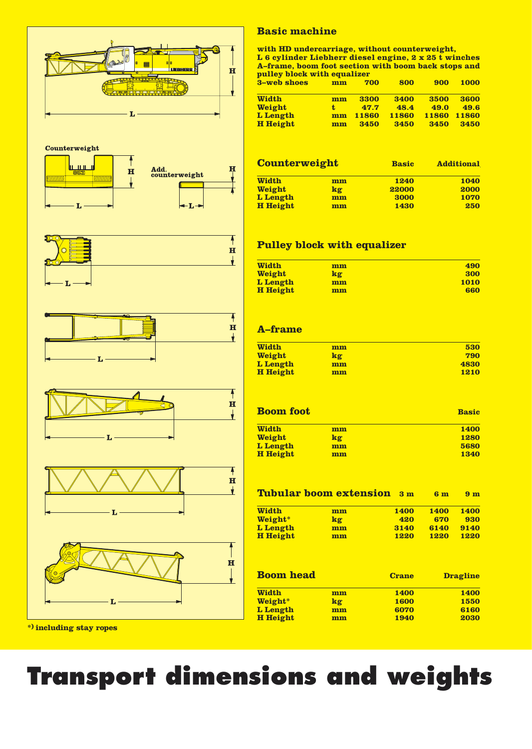

# **Basic machine**

with HD undercarriage, without counterweight, Let of the the state of the search of the search of the search of the search of the search of the search of the search of the search of the search of the search of the search of the search of the search of the search of th pulley block with equalizer

| 3-web shoes     | mm | 700          | 800   | 900   | <b>1000</b> |
|-----------------|----|--------------|-------|-------|-------------|
| <b>Width</b>    | mm | 3300         | 3400  | 3500  | 3600        |
| <b>Weight</b>   | t. | 47.7         | 48.4  | 49.0  | 49.6        |
| L Length        | mm | <b>11860</b> | 11860 | 11860 | 11860       |
| <b>H</b> Height | mm | 3450         | 3450  | 3450  | 3450        |

| <b>Counterweight</b> |    | <b>Basic</b> | <b>Additional</b> |  |  |
|----------------------|----|--------------|-------------------|--|--|
| <b>Width</b>         | mm | <b>1240</b>  | 1040              |  |  |
| <b>Weight</b>        | kg | 22000        | 2000              |  |  |
| L Length             | mm | 3000         | 1070              |  |  |
| <b>H</b> Height      | mm | 1430         | 250               |  |  |

# **Pulley block with equalizer**

| <b>Width</b>    | mm | 490  |
|-----------------|----|------|
| <b>Weight</b>   | kg | 300  |
| L Length        | mm | 1010 |
| <b>H</b> Height | mm | 660  |

# **A-frame**

| <b>Width</b>    | mm | 530         |
|-----------------|----|-------------|
| <b>Weight</b>   | kg | 790         |
| L Length        | mm | 4830        |
| <b>H</b> Height | mm | <b>1210</b> |

| <b>Boom foot</b> | <b>Basic</b> |             |
|------------------|--------------|-------------|
| <b>Width</b>     | mm           | <b>1400</b> |
| <b>Weight</b>    | kg           | <b>1280</b> |
| L Length         | mm           | 5680        |
| <b>H</b> Height  | mm           | 1340        |

|                 | <b>Tubular boom extension</b> | 3 <sub>m</sub> | 6 <sub>m</sub> | 9 <sub>m</sub> |
|-----------------|-------------------------------|----------------|----------------|----------------|
| <b>Width</b>    | mm                            | <b>1400</b>    | <b>1400</b>    | 1400           |
| Weight*         | kg                            | 420            | 670            | 930            |
| L Length        | mm                            | 3140           | 6140           | 9140           |
| <b>H</b> Height | mm                            | <b>1220</b>    | <b>1220</b>    | <b>1220</b>    |
|                 |                               |                |                |                |
|                 |                               |                |                |                |
|                 |                               |                |                |                |

| <b>Boom head</b> |    | <b>Crane</b> | <b>Dragline</b> |  |  |
|------------------|----|--------------|-----------------|--|--|
| <b>Width</b>     | mm | <b>1400</b>  | <b>1400</b>     |  |  |
| Weight*          | kg | <b>1600</b>  | 1550            |  |  |
| L Length         | mm | 6070         | 6160            |  |  |
| <b>H</b> Height  | mm | 1940         | 2030            |  |  |

\*) including stay ropes

# **Transport dimensions and weights**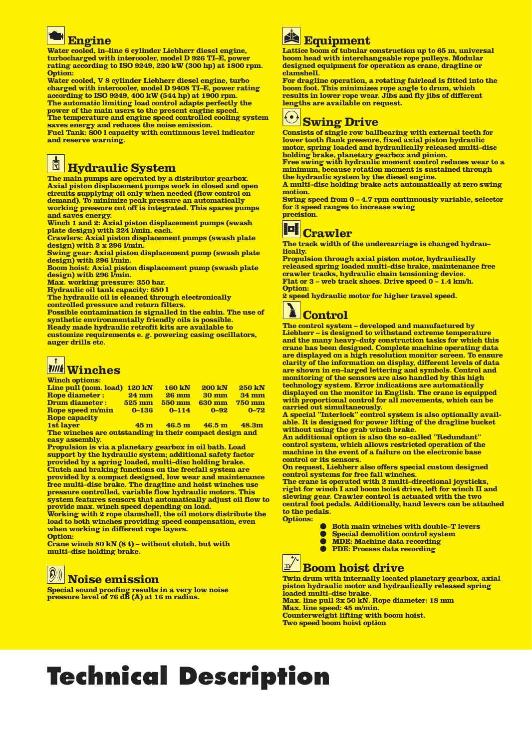# **Engine**

Water cooled, in-line 6 cylinder Liebherr diesel engine, turbocharged with intercooler, model D 926 TI-E, nower rating according to ISO 9249, 220 kW (300 hp) at 1800 rpm. Ontion:

Water cooled. V 8 cylinder Liebherr diesel engine, turbo charged with intercooler, model D 9408 TI-E, power rating according to ISO 9249, 400 kW (544 hp) at 1900 rpm.<br>The automatic limiting load control adapts perfectly the power of the main users to the present engine speed.<br>The temperature and engine speed controlled cooling system saves energy and reduces the noise emission.

Fuel Tank: 800 l capacity with continuous level indicator and reserve warning.

# $\mathbb{N}$ **Hydraulic System**

The main pumps are operated by a distributor gearbox. Axial piston displacement pumps work in closed and open<br>circuits supplying oil only when needed (flow control on demand). To minimize peak pressure an automatically working pressure cut off is integrated. This spares pumps and saves energy.

Winch 1 and 2: Axial piston displacement pumps (swash plate design) with 324 l/min. each.<br>Crawlers: Axial piston displacement pumps (swash plate

design) with 2 x 296 l/min.

Swing gear: Axial piston displacement pump (swash plate design) with 296 l/min.

Boom hoist: Axial piston displacement pump (swash plate design) with 296 l/min.

Max. working pressure: 350 bar.

Hydraulic oil tank capacity: 650 l

The hydraulic oil is cleaned through electronically controlled pressure and return filters.

Possible contamination is signalled in the cabin. The use of synthetic environmentally friendly oils is possible. Ready made hydraulic retrofit kits are available to

customize requirements e. g. powering casing oscillators, auger drills etc.

# **Winches**

| <b>TT LILULE UNULULES.</b>   |                     |                     |                 |                 |
|------------------------------|---------------------|---------------------|-----------------|-----------------|
| Line pull (nom. load) 120 kN |                     | <b>160 kN</b>       | <b>200 kN</b>   | <b>250 kN</b>   |
| <b>Rope diameter:</b>        | $24 \text{ mm}$     | <b>26 mm</b>        | $30 \text{ mm}$ | $34 \text{ mm}$ |
| <b>Drum diameter:</b>        | $525 \,\mathrm{mm}$ | <b>550 mm</b>       | <b>630 mm</b>   | $750$ mm        |
| <b>Rope speed m/min</b>      | $0 - 136$           | $0 - 114$           | $0 - 92$        | $0 - 72$        |
| <b>Rope capacity</b>         |                     |                     |                 |                 |
| $1st$ lower                  |                     | $ACm = ACEm = ACEm$ |                 | 10.9m           |

The winches are outstanding in their compact design and easy assembly.

Propulsion is via a planetary gearbox in oil bath. Load support by the hydraulic system; additional safety factor provided by a spring loaded, multi-disc holding brake. Clutch and braking functions on the freefall system are provided by a compact designed, low wear and maintenance free multi-disc brake. The dragline and hoist winches use pressure controlled, variable flow hydraulic motors. This system features sensors that automatically adjust oil flow to provide max. winch speed depending on load.

Working with 2 rope clamshell, the oil motors distribute the load to both winches providing speed compensation, even when working in different rope layers.

**Option:** 

Crane winch  $80 \text{ kN} (8 t)$  – without clutch, but with multi-disc holding brake.

#### $\left( 0 \right)$ **Noise emission**

Special sound proofing results in a very low noise pressure level of 76 dB (A) at 16 m radius.



Lattice boom of tubular construction up to 65 m, universal boom head with interchangeable rope pulleys. Modular designed equipment for operation as crane, dragline or clamshell.

For dragline operation, a rotating fairlead is fitted into the boom foot. This minimizes rope angle to drum, which<br>results in lower rope wear. Jibs and fly jibs of different<br>lengths are available on request.

# $\left|\text{\large $\odot$}\right|$  Swing Drive

Consists of single row ballbearing with external teeth for lower tooth flank pressure, fixed axial piston hydraulic motor, spring loaded and hydraulically released multi-disc holding brake, planetary gearbox and pinion. Free swing with hydraulic moment control reduces wear to a minimum, because rotation moment is sustained through the hydraulic system by the diesel engine.

A multi-disc holding brake acts automatically at zero swing motion.

Swing speed from 0 - 4.7 rpm continuously variable, selector for 3 speed ranges to increase swing precision.



**Crawler** The track width of the undercarriage is changed hydrau-

lically. Propulsion through axial piston motor, hydraulically released spring loaded multi-disc brake, maintenance free crawler tracks, hydraulic chain tensioning device. Flat or 3 - web track shoes. Drive speed 0 - 1.4 km/h. **Option:** 

2 speed hydraulic motor for higher travel speed.

# **Control**

The control system - developed and manufactured by Liebherr - is designed to withstand extreme temperature and the many heavy-duty construction tasks for which this<br>crane has been designed. Complete machine operating data are displayed on a high resolution monitor screen. To ensure clarity of the information on display, different levels of data are shown in en-larged lettering and symbols. Control and monitoring of the sensors are also handled by this high technology system. Error indications are automatically<br>displayed on the monitor in English. The crane is equipped with proportional control for all movements, which can be carried out simultaneously.

A special "Interlock" control system is also optionally available. It is designed for power lifting of the dragline bucket without using the grab winch brake.

An additional option is also the so-called "Redundant" control system, which allows restricted operation of the machine in the event of a failure on the electronic base control or its sensors.

On request, Liebherr also offers special custom designed control systems for free fall winches.

The crane is operated with 2 multi-directional joysticks, right for winch I and boom hoist drive, left for winch II and slewing gear. Crawler control is actuated with the two central foot pedals. Additionally, hand levers can be attached to the pedals. **Options:** 

**Both main winches with double-T levers** 

- **Special demolition control system**  $\bullet$
- MDE: Machine data recording
- $\bullet$ **PDE: Process data recording**

# **Boom hoist drive**

Twin drum with internally located planetary gearbox, axial piston hydraulic motor and hydraulically released spring loaded multi-disc brake.

Max. line pull 2x 50 kN. Rope diameter: 18 mm Max. line speed: 45 m/min. **Counterweight lifting with boom hoist.** Two speed boom hoist option

# **Technical Description**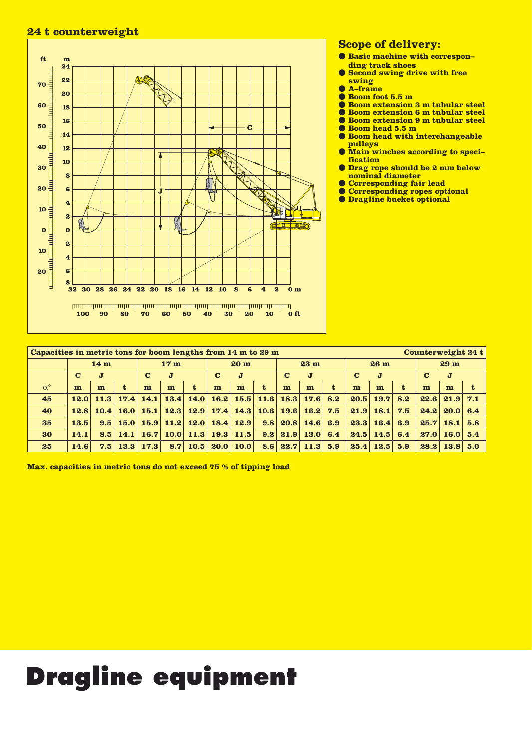# 24 t counterweight



## **Scope of delivery:**

- Basic machine with corresponding track shoes
- Second swing drive with free swing
- A-frame  $\bullet$
- Boom foot 5.5 m
- $\bullet$ **Boom extension 3 m tubular steel** Boom extension 6 m tubular steel
- **Boom extension 9 m tubular steel**  $\bullet$
- Boom head 5.5 m
- **Boom head with interchangeable** pulleys
- *Main winches according to speci*fication
- **O** Drag rope should be 2 mm below nominal diameter
- Corresponding fair lead
- Corresponding ropes optional
- **O** Dragline bucket optional

| Capacities in metric tons for boom lengths from 14 m to 29 m<br>Counterweight 24 t |                 |      |                                                |      |                 |                    |   |                                 |             |            |                 |     |      |                 |     |      |                      |     |
|------------------------------------------------------------------------------------|-----------------|------|------------------------------------------------|------|-----------------|--------------------|---|---------------------------------|-------------|------------|-----------------|-----|------|-----------------|-----|------|----------------------|-----|
|                                                                                    | 14 <sub>m</sub> |      |                                                |      | 17 <sub>m</sub> |                    |   | 20 <sub>m</sub>                 |             |            | 23 <sub>m</sub> |     |      | 26 <sub>m</sub> |     |      | 29 <sub>m</sub>      |     |
| $\bf C$<br>$\mathbf C$<br>$\bf J$<br>J                                             |                 |      | $\bf{J}$<br>$\bf C$<br>$\mathbf{J}$<br>$\bf C$ |      |                 | $\bf C$<br>$\bf J$ |   |                                 | C<br>J      |            |                 |     |      |                 |     |      |                      |     |
| $\alpha^{\circ}$                                                                   | m               | m    |                                                | m    | m               | t                  | m | m                               | $\mathbf t$ | m          | m               | t   | m    | m               | t   | m    | m                    | t   |
| 45                                                                                 | 12.0            |      | $11.3$ 17.4                                    | 14.1 |                 |                    |   | $13.4$ 14.0 16.2 15.5 11.6 18.3 |             |            | <b>17.6</b>     | 8.2 | 20.5 | 19.7            | 8.2 |      | $22.6$ 21.9          | 7.1 |
| 40                                                                                 | 12.8            | 10.4 | 16.0                                           | 15.1 |                 |                    |   | $12.3$ 12.9 17.4 14.3 10.6 19.6 |             |            | 16.2            | 7.5 | 21.9 | 18.1            | 7.5 | 24.2 | $20.0 \, \text{6.4}$ |     |
| 35                                                                                 | 13.5            | 9.5  | 15.0                                           | 15.9 |                 |                    |   | $11.2$ 12.0 18.4 12.9           |             | $9.8$ 20.8 | <b>14.6</b>     | 6.9 | 23.3 | 16.4            | 6.9 | 25.7 | 18.1                 | 5.8 |
| 30                                                                                 | 14.1            | 8.5  | 14.1                                           | 16.7 |                 |                    |   | $10.0$ 11.3 19.3 11.5           |             | $9.2$ 21.9 | 13.0            | 6.4 | 24.5 | 14.5            | 6.4 | 27.0 | 16.0 5.4             |     |
| 25                                                                                 | 14.6            | 7.5  | 13.3                                           | 17.3 |                 | $8.7$ 10.5 20.0    |   | 10.0                            | 8.6         | 22.7       | 11.3            | 5.9 | 25.4 | 12.5            | 5.9 | 28.2 | 13.8  5.0            |     |

Max. capacities in metric tons do not exceed 75 % of tipping load

# **Dragline equipment**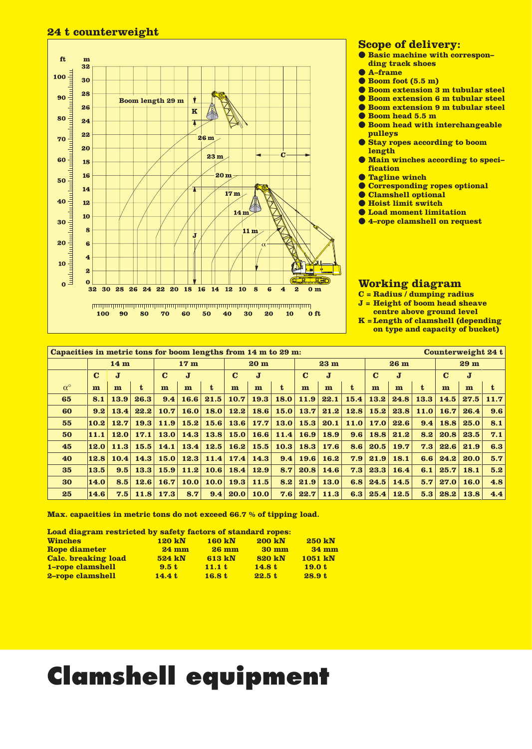## 24 t counterweight



### **Scope of delivery:**

- **Basic machine with correspon**ding track shoes
- **A-frame**
- $\bullet$  Boom foot  $(5.5 \text{ m})$
- **C** Boom extension 3 m tubular steel
- **C** Boom extension 6 m tubular steel **C** Boom extension 9 m tubular steel
- Boom head 5.5 m
- 
- **Boom head with interchangeable** pulleys
- Stay ropes according to boom length
- Main winches according to specification
- **C**Tagline winch
- Corresponding ropes optional
- Clamshell optional
- **O** Hoist limit switch
- **C** Load moment limitation
- 4-rope clamshell on request

- **Working diagram**<br>C = Radius / dumping radius
- $J = Height of boom head sheave$
- centre above ground level

 $K = Length of clamshell (depending)$ on type and capacity of bucket)

| Capacities in metric tons for boom lengths from 14 m to 29 m:<br>Counterweight 24 t |                 |      |             |             |                 |             |                 |             |             |                 |             |                  |      |                 |              |                 |             |      |
|-------------------------------------------------------------------------------------|-----------------|------|-------------|-------------|-----------------|-------------|-----------------|-------------|-------------|-----------------|-------------|------------------|------|-----------------|--------------|-----------------|-------------|------|
|                                                                                     | 14 <sub>m</sub> |      |             |             | 17 <sub>m</sub> |             | 20 <sub>m</sub> |             |             | 23 <sub>m</sub> |             |                  |      | 26 <sub>m</sub> |              | 29 <sub>m</sub> |             |      |
|                                                                                     | $\bf C$         | J    |             | $\bf C$     | $\bf{J}$        |             | $\bf C$         | J           |             | C<br>J          |             | $\bf C$<br>J     |      |                 | $\bf C$<br>J |                 |             |      |
| $\alpha^{\circ}$                                                                    | m               | m    | $\mathbf t$ | m           | m               | t           | m               | m           | t           | m               | m           | t.               | m    | m               | t.           | m               | m           | t    |
| 65                                                                                  | 8.1             | 13.9 | 26.3        | 9.4         | 16.6            | 21.5        | 10.7            | 19.3        | <b>18.0</b> | 11.9            | 22.1        | 15.4             | 13.2 | 24.8            | 13.3         | 14.5            | 27.5        | 11.7 |
| 60                                                                                  | 9.2             | 13.4 | 22.2        | 10.7        | 16.0            | 18.0        | 12.2            | 18.6        | <b>15.0</b> | 13.7            | 21.2        | 12.8             | 15.2 | 23.8            | 11.0         | 16.7            | 26.4        | 9.6  |
| 55                                                                                  | 10.2            | 12.7 | 19.3        | <b>11.9</b> | 15.2            | 15.6        | 13.6            | 17.7        | <b>13.0</b> | 15.3            | 20.1        | 11.0             | 17.0 | 22.6            | 9.4          | 18.8            | 25.0        | 8.1  |
| 50                                                                                  | 11.1            | 12.0 | 17.1        | 13.0        | 14.3            | 13.8        | 15.0            | 16.6        | 11.4        | 16.9            | 18.9        | 9.6              | 18.8 | 21.2            | 8.2          | 20.8            | 23.5        | 7.1  |
| 45                                                                                  | 12.0            | 11.3 | 15.5        | 14.1        | 13.4            | 12.5        | 16.2            | 15.5        | 10.3        | 18.3            | 17.6        | 8.6 <sub>1</sub> | 20.5 | 19.7            | 7.3          | 22.6            | 21.9        | 6.3  |
| 40                                                                                  | 12.8            | 10.4 | 14.3        | 15.0        |                 | $12.3$ 11.4 | 17.4            | 14.3        | 9.4         | 19.6            | 16.2        | 7.9              | 21.9 | 18.1            | 6.6          | 24.2            | 20.0        | 5.7  |
| 35                                                                                  | 13.5            | 9.5  | 13.3        | 15.9        | 11.2            | 10.6        | 18.4            | 12.9        | 8.7         | 20.8            | 14.6        | 7.3              | 23.3 | 16.4            | 6.1          | 25.7            | 18.1        | 5.2  |
| 30                                                                                  | 14.0            | 8.5  | 12.6        | 16.7        | 10.0            | 10.0        | 19.3            | 11.5        | 8.2         | 21.9            | <b>13.0</b> | 6.8              | 24.5 | 14.5            | 5.7          | 27.0            | <b>16.0</b> | 4.8  |
| 25                                                                                  | 14.6            | 7.5  | 11.8        | 17.3        | 8.7             | 9.4         | 20.0            | <b>10.0</b> | 7.6         | 22.7            | 11.3        | 6.3              | 25.4 | 12.5            | 5.3          | 28.2            | 13.8        | 4.4  |

Max. capacities in metric tons do not exceed 66.7 % of tipping load.

Load diagram restricted by safety factors of standard ropes:

| <b>Winches</b>             | <b>120 kN</b>   | <b>160 kN</b>   | <b>200 kN</b> | <b>250 kN</b> |
|----------------------------|-----------------|-----------------|---------------|---------------|
| <b>Rope diameter</b>       | $24 \text{ mm}$ | $26 \text{ mm}$ | <b>30 mm</b>  | <b>34 mm</b>  |
| <b>Calc.</b> breaking load | 524 kN          | 613 kN          | <b>820 kN</b> | 1051 kN       |
| 1-rope clamshell           | 9.5 t           | 11.1 t          | 14.8t         | 19.0 t        |
| 2-rope clamshell           | 14.4 t          | 16.8 t          | 22.5t         | 28.9 t        |

# **Clamshell equipment**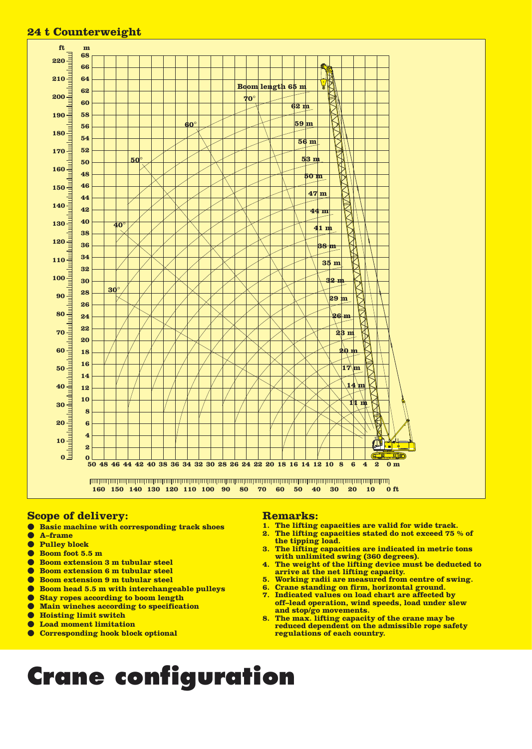#### 24 t Counterweight ft. m



## **Scope of delivery:**

**Basic machine with corresponding track shoes**  $\bullet$ 

- $\bullet$ A-frame
- **Pulley block**  $\bullet$
- $\bullet$ Boom foot 5.5 m
- $\bullet$ **Boom extension 3 m tubular steel**
- **Boom extension 6 m tubular steel**  $\bullet$
- $\bullet$ **Boom extension 9 m tubular steel**
- Boom head 5.5 m with interchangeable pulleys  $\bullet$
- **Stay ropes according to boom length**  $\bullet$
- Main winches according to specification  $\bullet$
- $\bullet$ **Hoisting limit switch**
- **Load moment limitation**  $\bullet$
- Corresponding hook block optional

#### **Remarks:**

- The lifting capacities are valid for wide track.  $1.$
- $\overline{\mathbf{2}}$ . The lifting capacities stated do not exceed 75 % of the tipping load.
- $3.$ The lifting capacities are indicated in metric tons with unlimited swing (360 degrees).
- 4. The weight of the lifting device must be deducted to arrive at the net lifting capacity.
- 5. Working radii are measured from centre of swing.<br>6. Crane standing on firm, horizontal ground.
- 
- 7. Indicated values on load chart are affected by off-lead operation, wind speeds, load under slew and stop/go movements.
- The max. lifting capacity of the crane may be 8. reduced dependent on the admissible rope safety regulations of each country.

# **Crane configuration**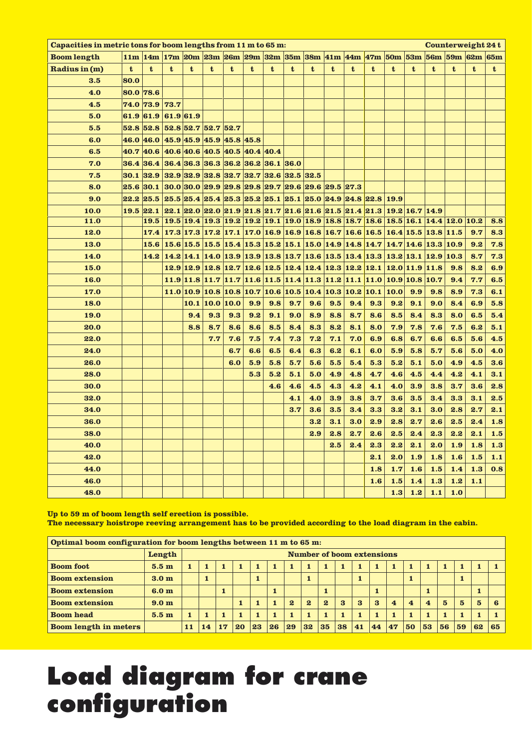| Capacities in metric tons for boom lengths from 11 m to 65 m: |           |                |                                                                                                                                                                                     |                                                                                                                                          |             |      |     |     |     |     |     |     |     |      |                  |     |             | Counterweight 24t |            |
|---------------------------------------------------------------|-----------|----------------|-------------------------------------------------------------------------------------------------------------------------------------------------------------------------------------|------------------------------------------------------------------------------------------------------------------------------------------|-------------|------|-----|-----|-----|-----|-----|-----|-----|------|------------------|-----|-------------|-------------------|------------|
| <b>Boom length</b>                                            |           |                | 11m 14m 17m 20m 23m 26m 29m 32m 35m 38m 41m 44m 47m 50m 53m 56m 59m                                                                                                                 |                                                                                                                                          |             |      |     |     |     |     |     |     |     |      |                  |     |             | 62m               | <b>65m</b> |
| Radius in (m)                                                 | t         | t              | t                                                                                                                                                                                   | t                                                                                                                                        | t           | t    | t   | t   | t   | t   | t   | t   | t   | t    | t                | t   | $\mathbf t$ | t                 | t          |
| 3.5                                                           | 80.0      |                |                                                                                                                                                                                     |                                                                                                                                          |             |      |     |     |     |     |     |     |     |      |                  |     |             |                   |            |
| 4.0                                                           | 80.0 78.6 |                |                                                                                                                                                                                     |                                                                                                                                          |             |      |     |     |     |     |     |     |     |      |                  |     |             |                   |            |
| 4.5                                                           |           | 74.0 73.9 73.7 |                                                                                                                                                                                     |                                                                                                                                          |             |      |     |     |     |     |     |     |     |      |                  |     |             |                   |            |
| 5.0                                                           | 61.9 61.9 |                | 61.9 61.9                                                                                                                                                                           |                                                                                                                                          |             |      |     |     |     |     |     |     |     |      |                  |     |             |                   |            |
| 5.5                                                           |           |                | 52.8 52.8 52.8 52.7 52.7 52.7                                                                                                                                                       |                                                                                                                                          |             |      |     |     |     |     |     |     |     |      |                  |     |             |                   |            |
| 6.0                                                           |           |                | 46.0 46.0 45.9 45.9 45.9 45.8 45.8                                                                                                                                                  |                                                                                                                                          |             |      |     |     |     |     |     |     |     |      |                  |     |             |                   |            |
| 6.5                                                           |           |                | 40.7 40.6 40.6 40.6 40.5 40.5 40.4 40.4                                                                                                                                             |                                                                                                                                          |             |      |     |     |     |     |     |     |     |      |                  |     |             |                   |            |
| 7.0                                                           |           |                | 36.4 36.4 36.4 36.3 36.3 36.2 36.2 36.1 36.0                                                                                                                                        |                                                                                                                                          |             |      |     |     |     |     |     |     |     |      |                  |     |             |                   |            |
| 7.5                                                           |           |                | $30.1$ 32.9 32.9 32.9 32.8 32.7 32.7 32.6 32.5 32.5                                                                                                                                 |                                                                                                                                          |             |      |     |     |     |     |     |     |     |      |                  |     |             |                   |            |
| 8.0                                                           | 25.6 30.1 |                | $ 30.0 30.0 29.9 29.8 29.8 29.7 29.6 29.6 29.5 27.3$                                                                                                                                |                                                                                                                                          |             |      |     |     |     |     |     |     |     |      |                  |     |             |                   |            |
| 9.0                                                           |           |                | 22.2 25.5 25.5 25.4 25.4 25.3 25.2 25.1 25.1 25.0 24.9 24.8 22.8 19.9                                                                                                               |                                                                                                                                          |             |      |     |     |     |     |     |     |     |      |                  |     |             |                   |            |
| 10.0                                                          | 19.5 22.1 |                | $22.122.022.021.921.821.721.621.621.521.421.3121.216.714.9$                                                                                                                         |                                                                                                                                          |             |      |     |     |     |     |     |     |     |      |                  |     |             |                   |            |
| 11.0                                                          |           | 19.5           | 19.5   19.4   19.3   19.2   19.2   19.1   19.0   18.9   18.8   18.7   18.6   18.5   16.1   14.4   12.0   10.2                                                                       |                                                                                                                                          |             |      |     |     |     |     |     |     |     |      |                  |     |             |                   | 8.8        |
| 12.0                                                          |           | 17.4           | $\mid$ 17.3 $\mid$ 17.3 $\mid$ 17.2 $\mid$ 17.1 $\mid$ 17.0 $\mid$ 16.9 $\mid$ 16.9 $\mid$ 16.8 $\mid$ 16.7 $\mid$ 16.6 $\mid$ 16.5 $\mid$ 16.4 $\mid$ 15.5 $\mid$ 13.8 $\mid$ 11.5 |                                                                                                                                          |             |      |     |     |     |     |     |     |     |      |                  |     |             | 9.7               | 8.3        |
| 13.0                                                          |           | 15.6           |                                                                                                                                                                                     | 15.6 15.5 15.5 15.4 15.3 15.2 15.1 15.0 14.9 14.8 14.7 14.7 14.6 13.3 10.9                                                               |             |      |     |     |     |     |     |     |     |      |                  |     |             | 9.2               | 7.8        |
| 14.0                                                          |           | 14.2           |                                                                                                                                                                                     | 14.2 14.1 14.0 13.9 13.9 13.8 13.7 13.6 13.5 13.4 13.3 13.2 13.1 12.9 10.3                                                               |             |      |     |     |     |     |     |     |     |      |                  |     |             | 8.7               | 7.3        |
| 15.0                                                          |           |                |                                                                                                                                                                                     | $12.9\,12.9\,12.8\,12.7\,12.6\,12.5\,12.4\,12.4\,12.3\,12.2\,12.1\,12.0\,11.9\,11.8$                                                     |             |      |     |     |     |     |     |     |     |      |                  |     | 9.8         | 8.2               | 6.9        |
| 16.0                                                          |           |                |                                                                                                                                                                                     | $11.9\vert 11.8\vert 11.7\vert 11.7\vert 11.6\vert 11.5\vert 11.4\vert 11.3\vert 11.2\vert 11.1\vert 11.0\vert 10.9\vert 10.8\vert 10.7$ |             |      |     |     |     |     |     |     |     |      |                  |     | 9.4         | 7.7               | 6.5        |
| 17.0                                                          |           |                |                                                                                                                                                                                     | $11.0 10.9 10.8 10.8 10.7 10.6 10.5 10.4 10.3 10.2 10.1$                                                                                 |             |      |     |     |     |     |     |     |     | 10.0 | 9.9              | 9.8 | 8.9         | 7.3               | 6.1        |
| 18.0                                                          |           |                |                                                                                                                                                                                     | 10.1                                                                                                                                     | <b>10.0</b> | 10.0 | 9.9 | 9.8 | 9.7 | 9.6 | 9.5 | 9.4 | 9.3 | 9.2  | 9.1              | 9.0 | 8.4         | 6.9               | 5.8        |
| 19.0                                                          |           |                |                                                                                                                                                                                     | 9.4                                                                                                                                      | 9.3         | 9.3  | 9.2 | 9.1 | 9.0 | 8.9 | 8.8 | 8.7 | 8.6 | 8.5  | 8.4              | 8.3 | 8.0         | 6.5               | 5.4        |
| 20.0                                                          |           |                |                                                                                                                                                                                     | 8.8                                                                                                                                      | 8.7         | 8.6  | 8.6 | 8.5 | 8.4 | 8.3 | 8.2 | 8.1 | 8.0 | 7.9  | 7.8              | 7.6 | 7.5         | 6.2               | 5.1        |
| 22.0                                                          |           |                |                                                                                                                                                                                     |                                                                                                                                          | 7.7         | 7.6  | 7.5 | 7.4 | 7.3 | 7.2 | 7.1 | 7.0 | 6.9 | 6.8  | 6.7              | 6.6 | 6.5         | 5.6               | 4.5        |
| 24.0                                                          |           |                |                                                                                                                                                                                     |                                                                                                                                          |             | 6.7  | 6.6 | 6.5 | 6.4 | 6.3 | 6.2 | 6.1 | 6.0 | 5.9  | 5.8              | 5.7 | 5.6         | 5.0               | 4.0        |
| 26.0                                                          |           |                |                                                                                                                                                                                     |                                                                                                                                          |             | 6.0  | 5.9 | 5.8 | 5.7 | 5.6 | 5.5 | 5.4 | 5.3 | 5.2  | 5.1              | 5.0 | 4.9         | 4.5               | 3.6        |
| 28.0                                                          |           |                |                                                                                                                                                                                     |                                                                                                                                          |             |      | 5.3 | 5.2 | 5.1 | 5.0 | 4.9 | 4.8 | 4.7 | 4.6  | 4.5              | 4.4 | 4.2         | 4.1               | 3.1        |
| 30.0                                                          |           |                |                                                                                                                                                                                     |                                                                                                                                          |             |      |     | 4.6 | 4.6 | 4.5 | 4.3 | 4.2 | 4.1 | 4.0  | 3.9              | 3.8 | 3.7         | 3.6               | 2.8        |
| 32.0                                                          |           |                |                                                                                                                                                                                     |                                                                                                                                          |             |      |     |     | 4.1 | 4.0 | 3.9 | 3.8 | 3.7 | 3.6  | 3.5              | 3.4 | 3.3         | 3.1               | 2.5        |
| 34.0                                                          |           |                |                                                                                                                                                                                     |                                                                                                                                          |             |      |     |     | 3.7 | 3.6 | 3.5 | 3.4 | 3.3 | 3.2  | 3.1              | 3.0 | 2.8         | 2.7               | 2.1        |
| 36.0                                                          |           |                |                                                                                                                                                                                     |                                                                                                                                          |             |      |     |     |     | 3.2 | 3.1 | 3.0 | 2.9 | 2.8  | 2.7              | 2.6 | 2.5         | 2.4               | 1.8        |
| 38.0                                                          |           |                |                                                                                                                                                                                     |                                                                                                                                          |             |      |     |     |     | 2.9 | 2.8 | 2.7 | 2.6 |      | $2.5$ 2.4        | 2.3 | 2.2         | $2.1$             | 1.5        |
| 40.0                                                          |           |                |                                                                                                                                                                                     |                                                                                                                                          |             |      |     |     |     |     | 2.5 | 2.4 | 2.3 | 2.2  | 2.1              | 2.0 | 1.9         | 1.8               | 1.3        |
| 42.0                                                          |           |                |                                                                                                                                                                                     |                                                                                                                                          |             |      |     |     |     |     |     |     | 2.1 | 2.0  | 1.9 <sub>2</sub> | 1.8 | 1.6         | 1.5               | 1.1        |
| 44.0                                                          |           |                |                                                                                                                                                                                     |                                                                                                                                          |             |      |     |     |     |     |     |     | 1.8 | 1.7  | 1.6              | 1.5 | 1.4         | 1.3               | 0.8        |
| 46.0                                                          |           |                |                                                                                                                                                                                     |                                                                                                                                          |             |      |     |     |     |     |     |     | 1.6 | 1.5  | 1.4              | 1.3 | 1.2         | 1.1               |            |
| 48.0                                                          |           |                |                                                                                                                                                                                     |                                                                                                                                          |             |      |     |     |     |     |     |     |     | 1.3  | 1.2              | 1.1 | 1.0         |                   |            |

Up to 59 m of boom length self erection is possible. The necessary hoistrope reeving arrangement has to be provided according to the load diagram in the cabin.

| Optimal boom configuration for boom lengths between 11 m to 65 m: |                  |    |                                  |    |    |    |    |              |    |                |              |              |              |                         |                         |    |                 |                 |                 |    |
|-------------------------------------------------------------------|------------------|----|----------------------------------|----|----|----|----|--------------|----|----------------|--------------|--------------|--------------|-------------------------|-------------------------|----|-----------------|-----------------|-----------------|----|
|                                                                   | Length           |    | <b>Number of boom extensions</b> |    |    |    |    |              |    |                |              |              |              |                         |                         |    |                 |                 |                 |    |
| <b>Boom foot</b>                                                  | 5.5 <sub>m</sub> |    |                                  |    |    |    |    |              |    | 1              | $\mathbf{1}$ |              |              |                         | 1                       |    |                 |                 |                 |    |
| <b>Boom extension</b>                                             | 3.0 <sub>m</sub> |    |                                  |    |    |    |    |              |    |                |              |              |              |                         |                         |    |                 |                 |                 |    |
| <b>Boom extension</b>                                             | 6.0 <sub>m</sub> |    |                                  |    |    |    |    |              |    |                |              |              |              |                         |                         |    |                 |                 |                 |    |
| <b>Boom extension</b>                                             | 9.0 <sub>m</sub> |    |                                  |    |    |    |    | $\mathbf{2}$ | 2  | $\overline{2}$ | $\bf{3}$     | $\mathbf{a}$ | $\mathbf{R}$ | $\overline{\mathbf{4}}$ | $\overline{\mathbf{4}}$ | 4  | $5\overline{2}$ | $5\overline{a}$ | $5\overline{2}$ | R  |
| <b>Boom head</b>                                                  | 5.5 <sub>m</sub> |    |                                  |    |    |    |    |              |    |                |              |              |              |                         |                         |    |                 |                 |                 |    |
| <b>Boom length in meters</b>                                      |                  | 11 | 14                               | 17 | 20 | 23 | 26 | 29           | 32 | 35             | 38           | 41           | 44           | 47                      | 50                      | 53 | 56              | 59              | 62              | 65 |

# **Load diagram for crane<br>configuration**